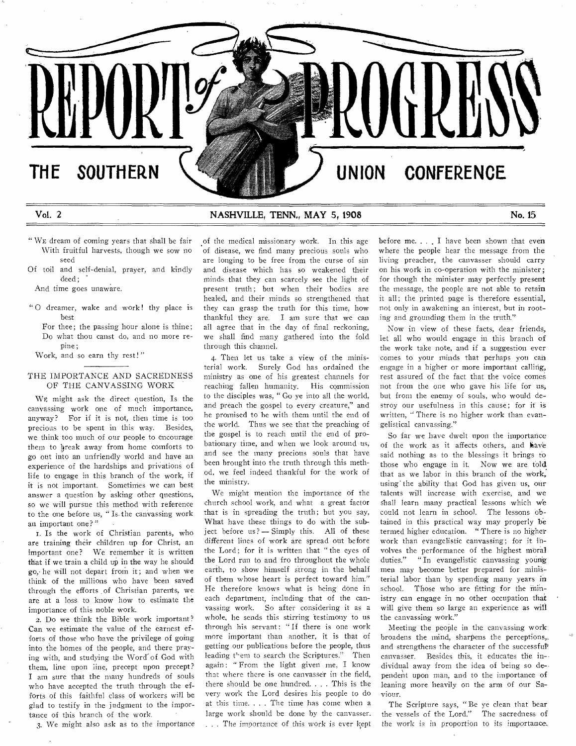THE SOUTHERN  $\setminus$  **We have a set of the UNION CONFERENCE** 

Vol. 2 NASHVILLE, TENN., MAY 5, 1908 No. 15

- " Wr dream of coming years that shall be fair With fruitful harvests, though we sow no seed
- Of toil and self-denial, prayer, and kindly deed;

And time goes unaware.

- "O dreamer, wake and work! thy place **is**  best
	- For thee; the passing hour alone is thine; Do what thou canst do, and no more repine;
	- Work, and so earn thy rest!"

# THE IMPORTANCE AND SACREDNESS OF THE CANVASSING WORK

Wg might ask the direct question, Is the canvassing work one of much importance, anyway? For if it is not, then time is too precious to be spent in this way. Besides, we think too much of our people to encourage them to break away from home comforts to go out into an unfriendly world and have an experience of the hardships and privations of life to engage in this branch of the work, if it is not important. Sometimes we can best answer a question by asking other questions, so we **will Pursue** this method with reference to the one before us, " Is, the canvassing work an important one?"

r. Is the work of Christian parents, who are training their children up for Christ, an important one? We remember it is written that if we train a child up in the way he should go, he will not depart from it; and when we think of the millions who have been saved through the efforts ,of Christian parents, we are at a loss to know how to estimate the importance of this noble work.

2. Do we think the Bible work important? Can we estimate the value of the earnest efforts of those who have the privilege of going into the homes of the people, and there praying with, and studying the Word of God with them, line upon line, precept upon precept? I am sure that the many hundreds of souls who have accepted the truth through the efforts of this faithful class of workers will be glad to testify in the judgment to **the** importance of this branch of the work.

3. We might **also ask as to the importance** 

of the medical missionary work. In this age of disease, we find many precious souls who are longing to be free from the curse of sin and disease which **has** so weakened their minds that they can scarcely see the light of present truth; but when their bodies are healed, and their minds so strengthened that they can grasp the truth for this time, how thankful they are. I am sure that we can all agree that in the day of final reckoning, we shall find many gathered into the fold through this channel.

4. Then let us take a view of the ministerial work. Surely God has ordained the ministry as one of his greatest channels for reaching fallen humanity. His commission to the disciples was, " Go ye **into all** the world, and preach the gospel to every creature," and he promised to he with them until the end of the world. Thus we see that the preaching of the gospel is to reach until the end of probationary time, and when we look around us, and see the many precious souls that have been brought into the truth through this method, we feel indeed thankful for the work of the ministry.

We might mention the importance of the church school work, and what a great factor that is in spreading the truth; but you say, What have these things to do with the subject before us? — Simply this. **All** of these different lines of work are spread out before the Lord; for it is written that " the eyes of the Lord run to and fro throughout the whole earth, to show himself strong in the behalf of them whose heart is perfect toward him." He therefore knows what is being done in each department, including that of the canvassing work. So after considering it as a whole, he sends this stirring testimony to us through his servant: "If there is one work more important than another, it is that of getting our publications before the people, thus leading them to search the Scriptures." Then **again: " From the** light given me, I know **that where** there is one canvasser in the field, **there should** be one hundred. . . This **is the very work** the Lord desires **his** people **to do at this time. . . . The time has come when a**  large work should **be done by the canvasser. . . .** The **importance of this work is ever kept** 

**before me. . . I have** been shown that even where the people hear the message from the living preacher, the canvasser should carry on his work in co-operation with the minister; for though the minister may perfectly present the message, the people are not able to retain it all; the printed page is therefore essential, not only in awakening an interest, but in rooting and grounding them in the truth."

Now in view of these facts, dear friends, let all who would engage in this branch of the work take note, and if a suggestion ever comes to your minds that perhaps you can engage in a higher or more important calling, rest assured of the fact that the voice comes not from the one who gave his life for us; but from the enemy of souls, who would destroy our usefulness in this cause; for it is written, " There is no higher work than evangelistical canvassing."

So far we have dwelt upon the importance of the work as it affects others, and have said nothing as to the blessings it brings to those who engage in it. Now we are told that as we labor in this branch of the work, using' the ability that God has given us, **our talents will increase with exercise, and we shall learn many** practical lessons which we could not learn in school. The lessons obtained in this practical way may properly be termed higher education. "There is no higher work than evangelistic canvassing; for it involves the performance of the highest moral duties." " In evangelistic canvassing young men may become better prepared for ministerial labor than by spending many years in school. Those who are fitting for the ministry can engage in no other occupation **that will give them so large** an experience as will the canvassing work."

Meeting the people in the canvassing work: broadens the mind, sharpens the perceptions,. and strengthens the character of the successful canvasser. Besides this, it educates the in-• dividual away from the idea of being so de- pendent upon man, and to the importance **of**  leaning more heavily on the arm of our Saviour.

The Scripture **says, " Be ye clean** that bear the **vessels** of the Lord." **The sacredness of the work is** in proportion **to its importance,**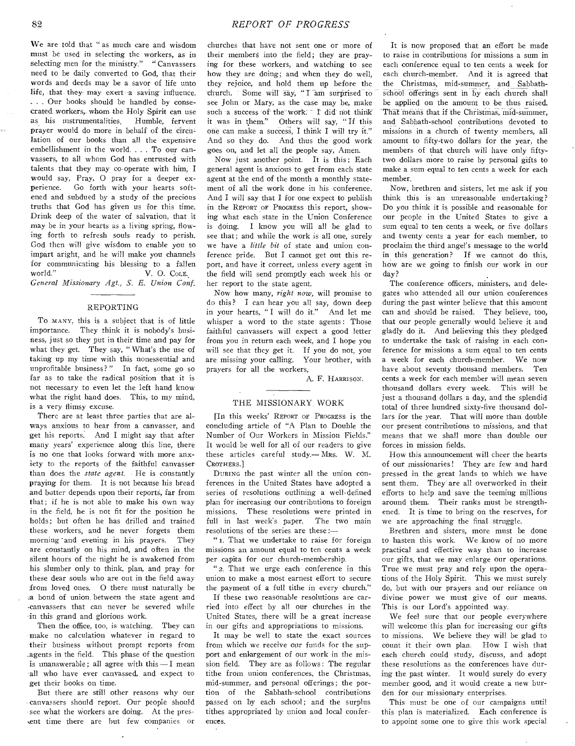We are told that " as much care and wisdom must be used in selecting the workers, as in selecting men for the ministry." " Canvassers need to be daily converted to God, that their words and deeds may be a savor of life unto life, that- they- may- exert -a saving-influence. . . . Our books should be handled by consecrated workers,- whom the Holy Spirit can use as his instrumentalities. Humble, fervent prayer would do more in behalf of the circulation of our books than all the expensive embellishment in the world. . . . To our canvassers, to all whom God has entrusted with talents that they may co-operate with him, I would say, Pray, 0 pray for a deeper experience. Go forth with your hearts softened and subdued by a study of the precious truths that God has given us for this time. Drink deep of the water of salvation, that it may be in your hearts as a living spring, flowing forth to refresh souls ready to perish. God then will give wisdom to enable you to impart aright, and he will make you channels for communicating his blessing to a fallen<br>world." V. O. Col.E. V. O. COLE.

*General Missionary Agt., S. E. Union Conf.* 

#### REPORTING

To MANY, this is a subject that is of little importance. They think it is nobody's business, just so they put in their time and pay for what they get. They say, " What's the use of taking up my time with this nonessential and unprofitable business?" In fact, some go so far as to take the radical position that it is not necessary to even let the left hand know what the right hand does. This, to my mind, is a very flimsy excuse.

There are at least three parties that are always anxious to hear from a canvasser, and get his reports. And I might say that after many years' experience along this line, there is no one that looks forward with more anxiety to the reports of the faithful canvasser than does the *state agent.* He is constantly praying for them. It is not because his bread and butter depends upon their reports, far from that; if he is not able to make his own way in the field, he is not fit for the position he holds; but often he has drilled and trained these workers, and he never forgets them morning 'and evening in his prayers. They are constantly on his mind, and often in the silent hours of the night he is awakened from his slumber only to think, plan, and pray for these dear souls who are out in the field away from loved ones. 0 there must naturally be .:a bond of union between the state agent and -canvassers that can never be severed while in this grand and glorious work.

Then the office, too, is watching. They can make no calculation whatever in regard to their business without prompt reports from agents in the field. This phase of the question is unanswerable; all agree with this  $-1$  mean all who have ever canvassed, and expect to get their books on time.

But there are still other reasons why our canvassers should report. Our people should see what the workers are doing. At the preskent time there are but few companies or churches that have not sent one or more of their members into the field; they are praying for these workers, and watching to see how they are doing; and when they do well, they rejoice, and hold them up before the church. Some will say, " I am surprised to see John or Mary, as the case may be, make such a success of the work. I did not think it was in them." Others will say, " If this one can make a success, I think I will try it." And so they do. And thus the good work goes on, and let all the people say, Amen.

Now just another point. It is this: Each general agent is anxious to get from each state agent at the end of the month a monthly statement of all the work done in his conference. And I will say that I for one expect to publish in the REPORT or PROGRESS this report, showing what each state in the Union Conference is doing. I know you will all be glad to see that; and while the work is all one, surely we have a *little bit* of state and union conference pride. But I cannot get out this report, and have it correct, unless every agent in the field will send promptly each week his or her report to the state agent.

Now how many, *right now,* will promise to do this? I can hear you all say, down deep in your hearts, "I will do it." And let me whisper a word to the state agents: Those faithful canvassers will expect a good letter from you in return each week, and I hope you will see that they get it. If you do not, you are missing your calling. Your brother, with prayers for all the workers,

A. F. HARRISON.

# THE MISSIONARY, WORK

[In this weeks' REPORT or PROGRESS is the concluding article of "A Plan to Double the Number of Our Workers in Mission Fields." It would be well for all of our readers to give these articles careful study.— MRS. W. M. CROTHERS.1

DURING the past winter all the union conferences in the United States have adopted a series of resolutions outlining a well-defined plan for increasing our contributions to foreign missions. These resolutions were printed in full in last week's paper. The two main full in last week's paper. resolutions of the series are these :—

" I. That we undertake to raise for foreign missions an amount equal to ten cents a week per capita for our church-membership.

"2. That we urge each conference in this union to make a most earnest effort to secure the payment of a full tithe in every church."

If these two reasonable resolutions are carried into effect by all our churches in the United States, there will be a great increase in our gifts and appropriations to missions.

It may be well to state the exact sources from which we receive our funds for the support and enlargement of our work in the mission field. They are as follows: The regular tithe from union conferences, the Christmas, mid-summer, and personal offerings; the portion of the Sabbath-school contributions passed on by each school; and the surplus tithes appropriated by union and local conferences.

It is now proposed that an effort be made to raise in contributions for missions a sum in each conference equal to ten cents a week for each church-member. And it is agreed that the Christmas, mid-summer, and Sabbathschool offerings sent in by each church shall be applied on the amount to be thus raised. That means that if the Christmas, mid-summer, and Sabbath-school contributions devoted to missions in a church of twenty members, all amount to fifty-two dollars for the year, the members of that church will have only fiftytwo dollars more to raise by personal gifts to make a sum equal to ten cents a week for each member.

Now, brethren and sisters, let me ask if you think this is an unreasonable undertaking? Do you think it is possible and reasonable for our people in the United States to give a sum equal to ten cents a week, or five dollars and twenty cents a year for each member, to proclaim the third angel's message to the world in this generation? If we cannot do this, how are we going to finish our work in our day?

The conference officers, ministers, and delegates who attended all our union conferences during the past winter believe that this amount can and should be raised. They believe, too, that our people generally would believe it and gladly do it. And believing this they pledged to undertake the task of raising in each conference for missions a sum equal to ten cents a week for each church-member. We now have about seventy thousand members. Ten cents a week for each member will mean seven thousand dollars every week. This will be just a thousand dollars a day, and the splendid total of three hundred sixty-five thousand dollars for the year. That will more than double our present contributions to missions, and that means that we shall more than double our forces in mission fields.

How this announcement will cheer the hearts of our missionaries! They are few and hard pressed in the great lands to which we have sent them. They are all overworked in their efforts to help and save the teeming millions around them. Their ranks must be strengthened. It is time to bring on the reserves, for we are approaching the final struggle.

Brethren and sisters, more must be done to hasten this work. We know of no more practical and effective way than to increase our gifts, that we may enlarge our operations. True we must pray and rely upon the operations of the Holy Spirit. This we must surely do, but with our prayers and our reliance on divine power we must give of our means. This is our Lord's appointed way.

We feel sure that our people everywhere will welcome this plan for increasing our gifts to missions. We believe they will be glad to count it their own plan. How I wish that each church could study, discuss, and adopt these resolutions as the conferences have during the past winter. It would surely do every member good, and it would create a new burden for our missionary enterprises.

This must be one of our campaigns until this plan is materialized. Each conference is to appoint some one to give this work special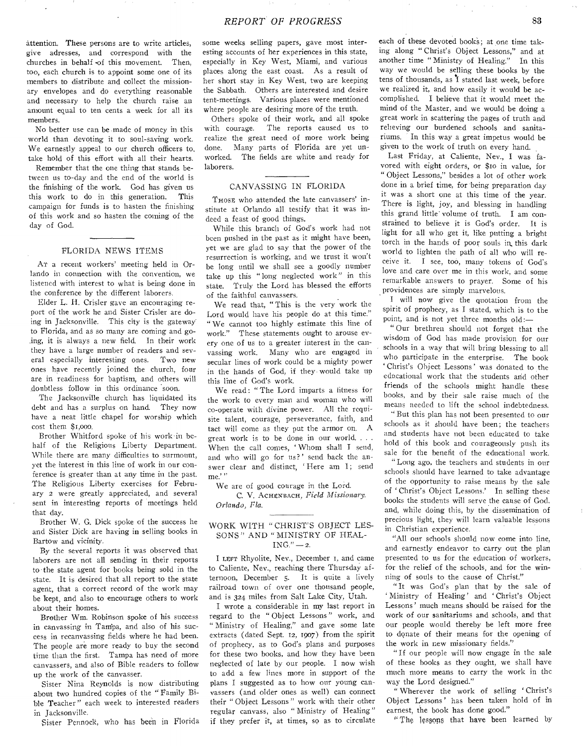attention. These persons are to write articles, give adresses, and correspond with the churches in behalf •of this movement. Then, too, each church is to appoint some one of its members to distribute and collect the missionary envelopes and do everything reasonable and necessary to help the church raise an amount equal to ten cents a week for all its members.

No better use can be made of money in this world than devoting it to soul-saving work. We earnestly appeal to our church officers to, take hold of this effort with all their hearts.

Remember that the one thing that stands between us to-day and the end of the world is the finishing of the work. God has given us this work to do in this generation. This campaign for funds is to hasten the finishing of this work and so hasten the coming of the day of God.

#### FLORIDA NEWS ITEMS

AT a recent workers' meeting held in Orlando in connection with the convention, we listened with interest to what is being done in the conference by the different laborers.

Elder L. H. Crisler gave an encouraging report of the work he and Sister Crisler are doing in Jacksonville. This city is the gateway' to Florida, and as so many are coming and going, it is always a new field. In their work they have a large number of readers and several especially interesting ones. Two new ones have recently joined the church, four are in readiness for baptism, and others will doubtless follow in this ordinance soon.

The Jacksonville church has liquidated its debt and has a surplus on hand. They now have a neat little chapel for worship which cost them \$1,000.

Brother Whitford spoke of his work •in behalf of the Religious Liberty Department. While there are many difficulties to surmount, yet the interest in this line of work in our conference is greater than at any time in the past. The Religious Liberty exercises for February 2 were greatly appreciated, and several sent in interesting reports of meetings held that day.

Brother W. G. Dick spoke of the success he and Sister Dick are having in selling books in Bartow and vicinity.

By the several reports it was observed that laborers are not all sending in their reports to the state agent for books being sold in the state. It is desired that all report to the state agent, that a correct record of the work may be kept, and also to encourage others to work about their homes.

Brother Wm. Robinson spoke of his success in canvassing in Tampa, and also of his success in recanvassing fields where he had been. The people are more ready to buy the second time than the first. Tampa has need of more canvassers, and also of Bible readers to follow up the work of the canvasser.

Sister Nina Reynolds is now distributing about two hundred copies of the " Family Bible Teacher" each week to interested readers in Jacksonville.

Sister Pennock, who has been in Florida

some weeks selling papers, gave most interesting accounts of her experiences in this state, especially in Key West, Miami, and various places along the east coast. As a result of her short stay in Key West, two are keeping the Sabbath. Others are interested and desire tent-meetings. Various places were mentioned where people are desiring more of the truth.

Others spoke of their work, and all spoke with courage. The reports caused us to realize the great need of more work being done. Many parts of Florida are yet unworked. The fields are white and ready for laborers.

# CANVASSING IN FLORIDA

THOSE who attended the late canvassers' institute at Orlando all testify that it was indeed a feast of good things.

While this branch of God's work had not been pushed in the past as it might have been, yet we are glad to say that the power of the resurrection is working, and we trust it won't be long until we shall see a goodly number take up this " long neglected work" in this state. Truly the Lord has blessed the efforts of the faithful canvassers.

We read that, " This is the very work the Lord would have his people do at this time." " We cannot too highly estimate this line of work." These statements ought to arouse every one of us to a greater interest in the canvassing work. Many who are engaged in secular lines of work could be a mighty power in the hands of God, if they would take up this line of God's work.

We read: " The Lord imparts a fitness for the work to every man and woman who will co-operate with divine power. All the requisite talent, courage, perseverance, faith, and tact will come as they put the armor on. great work is to be done in our world. . . . When the call comes, ' Whom shall I send, and who will go for us?' send hack the answer clear and distinct, Here am I; send me.' "

We are of good courage in the Lord. C. V. ACHSNBACH, *Field Missionary.* 

*Orlando, Fla.* 

# WORK WITH " CHRIST'S OBJECT LES-SONS" AND "MINISTRY OF HEAL- $ING." - 2.$

I LEFT Rhyolite, Nev., December t, and came to Caliente, Nev., reaching there Thursday afternoon, December 5. It is quite a lively railroad town of over one thousand people, and is 324 miles from Salt Lake City, Utah.

I wrote a considerable in my last report in regard to the "Object Lessons" work, and " Ministry of Healing," and gave some late extracts (dated Sept. 12, 1907) from the spirit of prophecy, as to God's plans and purposes for these two hooks, and how they have been neglected of late by our people. I now wish to add a few lines more in support of the plans I suggested as to how our young canvassers (and older ones as well) can connect their " Object Lessons" work with their other regular canvass, also " Ministry of Healing" if they prefer it, at times, so as to circulate

each of these devoted books; at one time taking along " Christ's Object Lessons," and at another time " Ministry of Healing." In this way we would be selling these books by the tens of thousands, as  $\tilde{I}$  stated last week, before we realized it, and how easily it would be accomplished. I believe that it would meet the mind of the Master, and we would be doing a great work in scattering the pages of truth and relieving our burdened schools and sanitariums. In this way a great impetus would be given to the work of truth on every hand.

Last Friday, at Caliente, Nev., I was favored with eight orders, or \$io in value, for " Object Lessons," besides a lot of other work done in a brief time, for being preparation day it was a short one at this time of the year. There is light, joy, and blessing in handling this grand little' volume of truth. I am constrained to believe it is God's order. It is light for all who get it, like putting a bright torch in the hands of poor souls in. this dark world to lighten the path of all who will receive it. I see, too, many tokens of God's love and care over me in this work, and some remarkable answers to prayer. Some of his providences are simply marvelous.

I will now give the quotation from the spirit of prophecy, as I stated, which is to the point, and is not yet three months old:—

" Our brethren should not forget that the wisdom of God has made provision for our schools in a way that will bring blessing to all who participate in the enterprise. The book Christ's Object Lessons ' was donated to the educational work that the students and other friends of the schools might handle these books, and by their sale raise much of the means needed to lift the school indebtedness.

" But this plan has not been presented to our schools as it should have been; the teachers and students have not been educated to take hold of this book and courageously push its sale for the benefit of the educational work.

"Long ago, the teachers and students in our schools should have learned to take advantage of the opportunity to raise means by the sale of Christ's Object Lessons.' In selling these books the students will serve the cause of God. and, while doing this, by the dissemination of precious light, they will learn valuable lessons in Christian experience.

"All our schools should now come into line, and earnestly endeavor to carry out the plan presented to us for the education of workers, for the relief of the schools, and for the winning of souls to the cause of Christ."

" It was God's plan that by the sale of ' Ministry of Healing' and ' Christ's Object Lessons' much means should be raised for the work of our sanitariums and schools, and that our people would thereby be left more free to donate of their means for the opening of the work in new missionary fields."

"If our people will now engage in the sale of these books as they ought, we shall have much more means to carry the work in the way the Lord designed."

" Wherever the work of selling ' Christ's Object Lessons' has been taken hold of in earnest, the book has done good."

"The lessons that have been learned by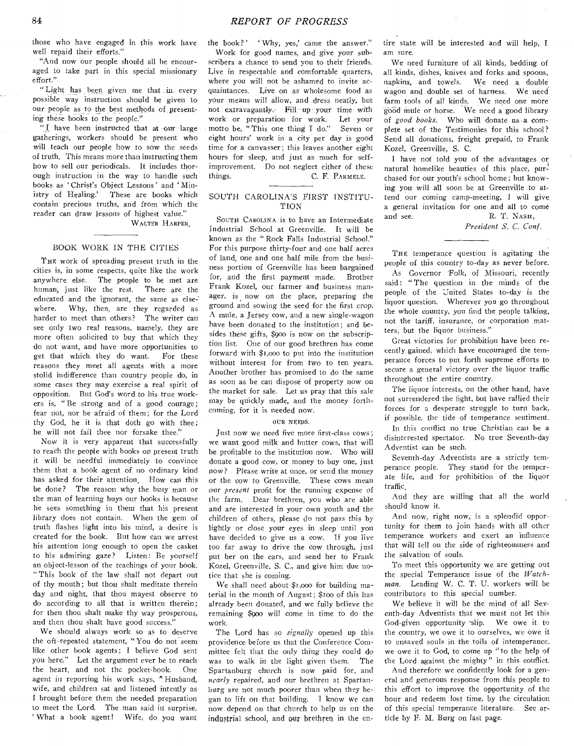those who have engaged in this work have well repaid their efforts."

"And now our people should all be encouraged to take part in this special missionary effort."

"Light has been given me that in every possible way instruction should be given to our people as to the best methods of presenting these books to the people."

" I have been instructed that at our large gatherings, workers should he present who will teach our people how to sow the seeds of truth. This means more than instructing them how to sell our periodicals. It includes thorough instruction in the way to handle such books as ' Christ's Object Lessons' and ' Ministry of Healing.' These are books which contain precious truths, and from which the reader can draw lessons of highest value."

WALTER HARPER,

# BOOK WORK IN THE CITIES

THE work of spreading present truth in the cities is, in some respects, quite like the work anywhere else. The people to be met are human, just like the rest. There are the educated and the ignorant, the same as elsewhere. Why, then, are they regarded as harder to meet than others? The writer can see only two real reasons, namely, they are more often solicited to buy that which they do not want, and have more opportunities to get that which they do want. For these reasons they meet all agents with a more stolid indifference than country people do, in some cases they may exercise a real spirit of opposition. But God's word to his true workers is, "Be strong and of a good courage; fear not, nor be afraid of them; for the Lord thy God, he it is that doth go with thee; he will not fail thee nor forsake thee."

Now it is very apparent that successfully to reach the people with books on present truth it will be needful immediately to convince them that a book agent of no ordinary kind has asked for their attention. How can this be done? The reason why the busy man or the man of learning buys our books is because he sees something in them that his present library does not contain. When the gem of truth flashes light into his mind, a desire is created for the book. But how can we arrest his attention long enough to open the casket to his admiring gaze? Listen: Be yourself an object-lesson of the teachings of your book. " This book of the law shall not depart out of thy mouth; but thou shalt meditate therein day and night, that thou mayest observe to do according to all that is written therein; for then thou shalt make thy way prosperous, and then thou shalt have good success."

We should always work so as to deserve the oft-repeated statement, " You do not seem like other book agents; I believe God sent you here." Let the argument ever be to reach the heart, and not the pocket-book. One agent in reporting his work says, "Husband, wife, and children sat and listened intently as I brought before them the needed preparation to meet the Lord. The man said in surprise, ' What a book agent! Wife, do you want

the book?' Why, yes,' came the answer." Work for good names, and give your sub-

scribers a chance to send you to their friends. Live in respectable and comfortable quarters, where you will not be ashamed to invite acquaintances. Live on as wholesome food as your means will allow, and dress neatly, but not extravagantly.- Fill- up' your time with work or preparation for work. Let your motto be, " This one thing I do." Seven or eight hours' work in a city per day is good time for a canvasser; this leaves another eight hours for sleep, and just as much for selfimprovement. Do not neglect either of these things. C. F. PARMELE.

# SOUTH CAROLINA'S FIRST INSTITU-TION

SOUTH CAROLINA is to have an Intermediate Industrial School at Greenville. It will be known as the " Rock Fails Industrial School." For this purpose thirty-four and one half acres of land, one and one half mile from the business portion of Greenville has been bargained for, and the first payment made. Brother Frank Kozel, our farmer and business manager, is now on the place, preparing the ground and sowing the seed for the first crop. A mule, a Jersey cow, and a new single-wagon have been donated to the institution; and besides these gifts, \$900 is now on the subscription list. One of our good brethren has come forward with \$1,000 to put into the institution without interest for from two to ten years. Another brother has promised to do the same as soon as he can dispose of property now on the market for sale. Let us pray that this sale may be quickly made, and the money forthcoming, for it is needed now.

#### OUR NEEDS.

Just now we need five more first-class cows; we want good milk and butter cows, that will be profitable to the institution now. Who will donate a good cow, or money to buy one, just now? Please write at once, or send the money or the cow to Greenville. These cows mean our *present* profit for the running expense of the farm. Dear brethren, you who are able and are interested in your own youth and the children of others, please do not pass this by lightly or close your eyes in sleep until you have decided to give us a cow. If you live too far away to drive the cow through, just put her on the cars, and send her to Frank Kozel, Greenville, S. C., and give him due notice that she is coming.

We shall need about \$1,000 for building material in the month of August; \$roo of this has already been donated, and we fully believe the remaining \$goo will come in time to do the work.

The. Lord has so *signally* opened up this providence before us that the Conference Committee felt that the only thing they could do was to walk in the light given them. The Spartanburg church is now paid for, and *nearly* repaired, and our brethren at Spartanburg are not much poorer than when they began to lift on that building. I know we can now depend on that church to help us on the industrial school, and our brethren in the entire state will be interested and will help, I am sure.

We need furniture of all kinds, bedding of all kinds, dishes, knives and forks and spoons, napkins, and towels. We need a double maparitis, and towers. The need a double farm tools of all kinds. We need one more gOOd mule or horse. We need a good library of *good books.* Who will donate us -a complete set of the Testimonies for this school? Send all donations, freight prepaid, to Frank Kozel, Greenville, S. C.

I have not told you of the advantages or natural homelike beauties of this place, pur- $\overline{a}$ chased for our youth's school home ; but knowing you will all soon be at Greenville to attend our coming camp-meeting, I will give a general invitation for one and all to come and see. R. T. NASH,

*President S. C. Conf.* 

THE temperance question is agitating the people of this country to-day as never before.

As Governor Folk, of Missouri, recently said: " The question in the minds of the people of the United States to-day is the liquor question. Wherever you go throughout the whole country, you find the people talking, not the tariff, insurance, or corporation matters, but the liquor business."

Great victories for prohibition have been recently gained, which have encouraged the temperance forces to put forth supreme efforts to secure a general victory over the liquor traffic throughout the entire country,

The liquor interests, on the other hand, have not surrendered the fight, but have rallied their forces for a desperate struggle to turn back, if possible, the tide of temperance sentiment.

In this conflict no true Christian can be a disinterested spectator. No true Seventh-day Adventist can be such.

Seventh-day Adventists are a strictly temperance people. They stand for the temperate life, and for prohibition of the liquor traffic,

And they are willing that all the world should know it.

And now, right now, is a splendid opportunity for them to join hands with all other temperance workers and exert an influence that will tell on the side of righteousness and the salvation of souls.

To meet this opportunity we are getting out the special Temperance issue of the *Watchman.* Leading W. C. T. U. workers will be contributors to this special number.

We believe it will be the mind of all Seventh-day Adventists that we must not let this God-given opportunity -slip. We owe it to the country, we owe it to ourselves, we owe it to unsaved souls in the toils of intemperance, we owe it to God, to come up "to the help of the Lord against the mighty  $\frac{h}{r}$  in this conflict.

And therefore we confidently look for a general and generous response from this people to this effort to improve the opportunity of the hour and redeem lost time, by the circulation of this special temperance literature. See article by F. M. Burg on last page.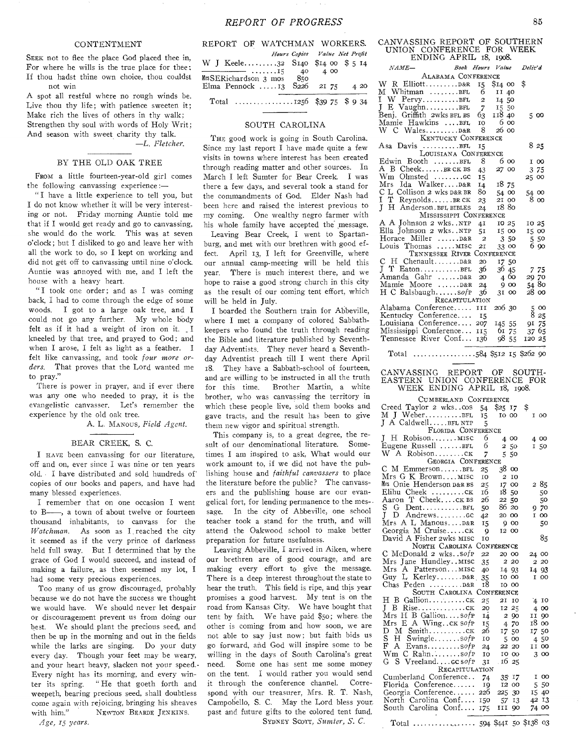# CONTENTMENT

SEEK not to flee the place God placed thee in, For where he wills is the true place for thee; If thou hadst thine own choice, thou couldst not win

A spot all restful where no rough winds be. Live thou thy life; with patience sweeten it; Make rich the lives of others in thy walk; Strengthen thy soul with words of Holy Writ; And season with sweet charity thy talk. —L. *Fletcher.* 

### BY THE OLD OAK TREE

FROM a little fourteen-year-old girl comes the following canvassing experience:—

" I have a little experience to tell you, but I do not know whether it will be very interesting or not. Friday morning Auntie told me that if I would get ready and go to canvassing, she would do the work. This was at seven o'clock; but I disliked to go and leave her with all the work to do, so I kept on working and did not get off to canvassing until nine o'clock. Auntie was annoyed with me, and I left the house with a heavy heart.

"I took one order; and as I was coming back, I had to come through the edge of some woods. I got to a large oak tree, and I could not go any further. My whole body felt as if it had a weight of iron on it. I kneeled by that tree, and prayed to God; and when I arose, I felt as light as a feather. I felt like canvassing, and took *four more orders.* That proves that the Lord wanted me to pray."

There is power in prayer, and if ever there was any one who needed to pray, it is the evangelistic canvasser. Let's remember the experience by the old oak tree.

A. L. MANOUS, *Field Agent.* 

#### BEAR CREEK, S. C.

I HAVE been canvassing for our literature, off and on, ever since I was nine or ten years old. I have distributed and sold hundreds of copies of our books and papers, and have had many blessed experiences.

I remember that on one occasion I went to B—, a town of about twelve or fourteen thousand inhabitants, to canvass for the *Watchman.* As soon as I , reached the city it seemed as if the very prince of darkness held full sway. But I determined that by the grace of God I would succeed, and instead of making a failure, as then seemed my lot, I had some very precious experiences.

Too many of us grow discouraged, probably because we do not have the success we thought we would have. We should never let despair or discouragement prevent us from doing our best. We should plant the precious seed, and then be up in the morning and out in the fields while the larks are singing. Do your duty every day. Though your feet may be weary, and your heart heavy, slacken not your speed.- Every night has its morning, and every winter its spring. "He that goeth forth and weepeth, bearing precious seed, shall doubtless come again with rejoicing, bringing his sheaves with him." NEWTON BEARDE JENKINS.

*Age, 15 years.* 

| REFURI UP WAICHMAN WURKERS                                                                                                                                                                                                                                                                                                                                                                                                                                    |                               |      |        |
|---------------------------------------------------------------------------------------------------------------------------------------------------------------------------------------------------------------------------------------------------------------------------------------------------------------------------------------------------------------------------------------------------------------------------------------------------------------|-------------------------------|------|--------|
|                                                                                                                                                                                                                                                                                                                                                                                                                                                               | Hours Copies Value Net Profit |      | τ      |
| W J Keele32 S140 \$14 00 \$5 14                                                                                                                                                                                                                                                                                                                                                                                                                               |                               |      |        |
| $\overbrace{ }$ $\overbrace{ }$ $\overbrace{ }$ $\overbrace{ }$ $\overbrace{ }$ $\overbrace{ }$ $\overbrace{ }$ $\overbrace{ }$ $\overbrace{ }$ $\overbrace{ }$ $\overbrace{ }$ $\overbrace{ }$ $\overbrace{ }$ $\overbrace{ }$ $\overbrace{ }$ $\overbrace{ }$ $\overbrace{ }$ $\overbrace{ }$ $\overbrace{ }$ $\overbrace{ }$ $\overbrace{ }$ $\overbrace{ }$ $\overbrace{ }$ $\overbrace{ }$ $\overbrace{ }$ $\overbrace{ }$ $\overbrace{ }$ $\overbrace{$ | 4 00                          |      |        |
| MrsSERichardson 3 mos 850                                                                                                                                                                                                                                                                                                                                                                                                                                     |                               |      |        |
| Elma Pennock  13 $S_{226}$ 21 75                                                                                                                                                                                                                                                                                                                                                                                                                              |                               | 4 20 | W<br>M |
|                                                                                                                                                                                                                                                                                                                                                                                                                                                               |                               |      | T      |
|                                                                                                                                                                                                                                                                                                                                                                                                                                                               |                               |      |        |

#### SOUTH CAROLINA

THE good work is going in South Carolina. Since my last report I have made quite a few visits in towns where interest has been created through reading matter and other sources. In March I left Sumter for Bear Creek. I was there a few days, and several took a stand for the commandments of God. Elder Nash had been here and raised the interest previous to my coming. One wealthy negro farmer with his whole family have accepted the message.

Leaving Bear Creek, I went to Spartanburg, and met with our brethren with good effect. April 13, I left for Greenville, where our annual camp-meeting will be held this year. There is much interest there, and we hope to raise a good strong church in this city as the result of our coming tent effort, which will be held in July.

I boarded the Southern train for Abbeville, where I met a company of colored Sabbathkeepers who found the truth through reading the Bible and literature published by Seventhday Adventists. They never heard a Seventhday Adventist preach till I went there April 18. They have a Sabbath-school of fourteen, and are willing to be instructed in all the truth for this time. Brother Martin, a white brother, who was canvassing the territory in which these people live, sold them hooks and gave tracts, and the result has been to give them new vigor and spiritual strength.

This company is, to a great degree, the result of our denominational literature. Sometimes I am inspired to ask, What would our work amount to, if we did not have the publishing house and *faithful canvassers* to place the literature before the public? The canvassers and the publishing house are our evangelical fort, for lending permanence to the mes-• sage. In the city of Abbeville, one school teacher took a stand for the truth, and will attend the Oakwood school to make better preparation for future usefulness.

Leaving Abbeville, I arrived in Aiken, where our brethren are of good courage, and are making every effort to give the message. There is a deep interest throughout the state to hear the truth. This field is ripe, and this year promises a good harvest. My tent is on the road from Kansas City. We have bought that tent by faith. We have paid \$50; where. the other is coming from and how soon, we are not able to say just now; but faith bids us go forward, and God will inspire some to be willing in the days of South Carolina's great need. Some one has sent me some money on the tent. I would rather you would send it through the conference channel. Correspond with our treasurer, Mrs. R. T. Nash, Campobello, S. C. May the Lord bless your, past and future gifts to the colored tent fund. SYDNEY SCOTT, *Sumter, S. C.* 

#### CANVASSING REPORT OF SOUTHERN UNION CONFERENCE FOR WEEK ENDING APRIL i8, 1908.

| $_{NAME-}$                  |  |                |           |       | Book Hours Value Deliv'd |  |
|-----------------------------|--|----------------|-----------|-------|--------------------------|--|
| ALABAMA CONFERENCE          |  |                |           |       |                          |  |
|                             |  | 15             | $\$14.00$ |       | \$                       |  |
| M Whitman BFL               |  | 6              | II 40     |       |                          |  |
| I W $Pervy$ $BFL$ 2         |  |                | 14 50     |       |                          |  |
| $E$ Vaughn $BFL$<br>T.      |  | $\overline{7}$ | 15 50     |       |                          |  |
| Benj. Griffith 2wks BFL BS  |  |                | 63 118 40 |       | 5 00                     |  |
| Mamie Hawkins BFL           |  | 10             |           | 6 оо  |                          |  |
| W C Wales D&R               |  | 8              | 26 00     |       |                          |  |
| <b>KENTUCKY CONFERENCE</b>  |  |                |           |       |                          |  |
| Asa Davis BFL               |  | 15             |           |       | 825                      |  |
| LOUISIANA CONFERENCE        |  |                |           |       |                          |  |
| Edwin Booth BFL             |  | 8              |           | 6 00  | I 00                     |  |
| A B CheekBRCK BS            |  | 43             | 27 00     |       | 3 75                     |  |
| Wm Olmsted cc               |  | 15             |           |       | 25 00                    |  |
| Mrs Ida WalkerD&R           |  | 14             | 1875      |       |                          |  |
| C L Collison 2 wks D&R BR   |  | 80 -           | 54 00     |       | 54 00                    |  |
| L<br>т<br>$Reynolds$ $BRCK$ |  | 23             | 21 00     |       | 8 oo                     |  |
| J H Anderson. BFL BIBLES    |  | 24             | 18 80     |       |                          |  |
| MISSISSIPPI CONFERENCE      |  |                |           |       |                          |  |
| A A Johnson 2 wksNTP        |  | 4I             |           | 10 25 | 10 25                    |  |
| Ella Johnson 2 wksNTP       |  | 51             |           | 15 00 | 15 00                    |  |
| Horace Miller D&R           |  | $\overline{2}$ |           | 350   | 550                      |  |
| Louis Thomas MISC           |  | 2I             |           | 33 00 | 690                      |  |
| TENNESSEE RIVER CONFERENCE  |  |                |           |       |                          |  |
| C H ChenaultD&R             |  | 20             |           | 1750  |                          |  |
| J T ExtonBFL                |  | 36             |           | 3645  | 775                      |  |
| Amanda Gahr D&R             |  | 20             |           | 4 60  | 29 70                    |  |
| Mamie Moore D&R             |  | 24             |           | 900   | 54 80                    |  |
| $H \, C$ Balsbaughsofp      |  | 36             |           | 31 00 | 28 00                    |  |
| RECAPITULATION              |  |                |           |       |                          |  |
| Alabama Conference          |  | III            | 206 30    |       | $\frac{5}{2}$ 00         |  |
| Kentucky Conference         |  | $-15$          |           |       | 8<br>25                  |  |
| Louisiana Conference 207    |  |                | 145 55    |       | 91 75                    |  |
| Mississippi Conference 115  |  |                |           | 61 75 | 37 65                    |  |
| Tennessee River Conf        |  | 136            |           | 98 55 | 120 25                   |  |

Total  $\ldots \ldots \ldots \ldots \ldots \ldots 584$  \$512 15 \$262 90

CANVASSING REPORT OF SOUTH-EASTERN UNION CONFERENCE FOR WEEK ENDING APRIL 18, 1908.

#### CUMBERLAND CONFERENCE

| Creed Taylor 2 wkscos     | 54             | \$25 17   | \$       |  |  |  |
|---------------------------|----------------|-----------|----------|--|--|--|
| M J WeberBFL              | 15             | 10 00     | 1 00     |  |  |  |
| J A CaldwellBFL NTP       | 5              |           |          |  |  |  |
| FLORIDA CONFERENCE        |                |           |          |  |  |  |
| H RobisonMISC<br>L        | б              | 4 00      | 4 00     |  |  |  |
| Eugene Russell BFL        | 6              | 250       | 150      |  |  |  |
| W A Robisonck             | 7              | 5<br>50   |          |  |  |  |
| GEORGIA CONFERENCE        |                |           |          |  |  |  |
| $C$ M Emmerson $BFL$      | 25             | 38 00     |          |  |  |  |
| Mrs G K Brown MISC        | IO             | 2<br>ΙO   |          |  |  |  |
| Mis Onie Henderson D&R BS | 25             | 17<br>00  | 285      |  |  |  |
| Elihu Cheek CK            | 16             | 1850      | 50       |  |  |  |
| Aaron T CheekCK BS        | 26             | 22 50     | 50       |  |  |  |
| $S$ $G$ $Dent$ $BFL$      | 50             | 86 20     | 970      |  |  |  |
| D Andrewscc<br>T          | 42             | 20 00     | 1 00     |  |  |  |
| Mrs A L ManousD&R         | 15             | 900       | 50       |  |  |  |
| Georgia M CruiseCK        | 9              | 12 00     |          |  |  |  |
| David A Fisher 2wks MISC  | IO             |           | 85       |  |  |  |
| NORTH CAROLINA CONFERENCE |                |           |          |  |  |  |
| C McDonald 2 wkssofp      | 22             | 20 00     | 24 00    |  |  |  |
| Mrs Jane HundleyMISC      | 35             | 2 20      | 2 20     |  |  |  |
| Mrs A Patterson MISC      | 40             | 14 93     | 14 93    |  |  |  |
| Guy L Kerley $\n  D&R$    | 35             | 10 00     | I 00     |  |  |  |
| Chas Peden D&R            | 18             | 10 00     |          |  |  |  |
| SOUTH CAROLINA CONFERENCE |                |           |          |  |  |  |
| H B GallionCK             | 25             | 21<br>I0  | 4 10     |  |  |  |
| J B Riseck                | 20             | 12 25     | 4 00     |  |  |  |
| Mrs H B Gallionsofp       | 14             | 2 9 0     | II<br>90 |  |  |  |
| Mrs E A Wingck sofp       | 15             | 4 70      | 18 00    |  |  |  |
|                           | 26             | 1750      | 17 50    |  |  |  |
| H Swinglesofp<br>$S_{-}$  | ΙO             | 5 00      | 450      |  |  |  |
| A Evanssofp<br>F.         | 24             | 22 20     | II 00    |  |  |  |
| $\rm Wm$<br>$C$ Rahnsofp  | IO             | 10 00     | 300      |  |  |  |
| G S VreelandccsofP        | 3 <sup>T</sup> | .1625     |          |  |  |  |
| RECAPITULATION            |                |           |          |  |  |  |
| Cumberland Conference     | 74             | 35 17     | 1 00     |  |  |  |
| Florida Conference        | 19             | 12 00     | 5 50     |  |  |  |
| Georgia Conference        | 226            | 225 30    | 15 40    |  |  |  |
| North Carolina Conf       | 150            | 57<br>13  | 42 13    |  |  |  |
| South Carolina Conf       | 175            | 111<br>90 | 74.00    |  |  |  |
|                           |                |           |          |  |  |  |

Total  $\ldots$   $\ldots$   $\ldots$   $\ldots$   $\ldots$  594 \$441 50 \$138 03